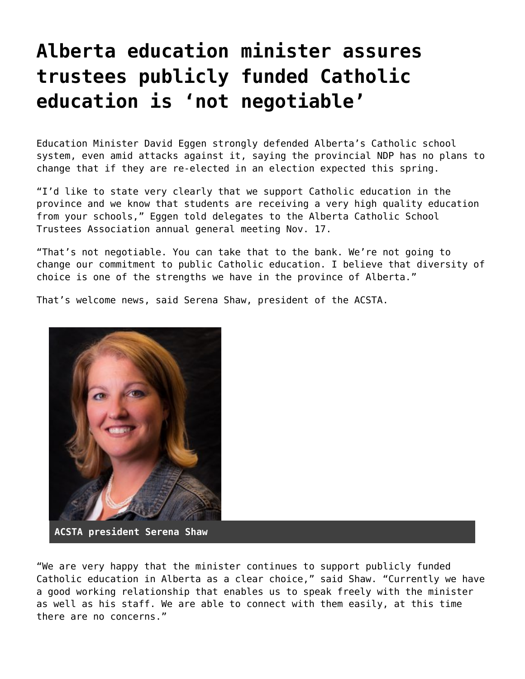## **[Alberta education minister assures](https://grandinmedia.ca/alberta-education-minister-assures-trustees-publicly-funded-catholic-education-not-negotiable/) [trustees publicly funded Catholic](https://grandinmedia.ca/alberta-education-minister-assures-trustees-publicly-funded-catholic-education-not-negotiable/) [education is 'not negotiable'](https://grandinmedia.ca/alberta-education-minister-assures-trustees-publicly-funded-catholic-education-not-negotiable/)**

Education Minister David Eggen strongly defended Alberta's Catholic school system, even amid attacks against it, saying the provincial NDP has no plans to change that if they are re-elected in an election expected this spring.

"I'd like to state very clearly that we support Catholic education in the province and we know that students are receiving a very high quality education from your schools," Eggen told delegates to the [Alberta Catholic School](https://acsta.ab.ca/) [Trustees Association](https://acsta.ab.ca/) annual general meeting Nov. 17.

"That's not negotiable. You can take that to the bank. We're not going to change our commitment to public Catholic education. I believe that diversity of choice is one of the strengths we have in the province of Alberta."

That's welcome news, said Serena Shaw, president of the ACSTA.



**ACSTA president Serena Shaw**

"We are very happy that the minister continues to support publicly funded Catholic education in Alberta as a clear choice," said Shaw. "Currently we have a good working relationship that enables us to speak freely with the minister as well as his staff. We are able to connect with them easily, at this time there are no concerns."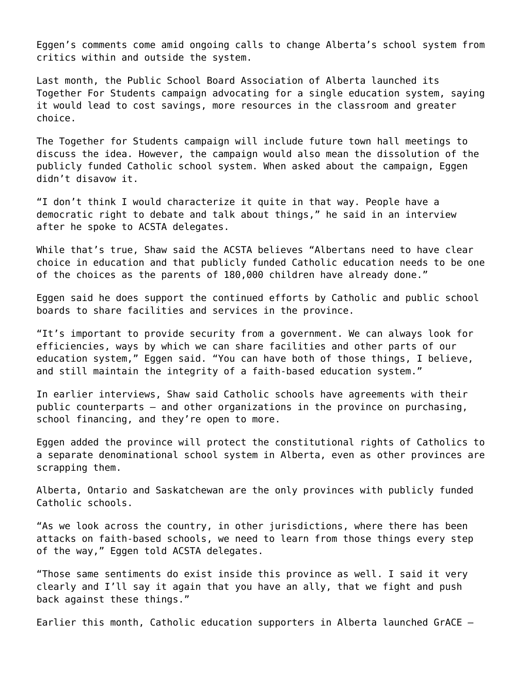Eggen's comments come amid ongoing calls to change Alberta's school system from critics within and outside the system.

Last month, the Public School Board Association of Alberta launched its [Together For Students](https://www.togetherforstudents.ca/) campaign advocating for a single education system, saying it would lead to cost savings, more resources in the classroom and greater choice.

The Together for Students campaign will include future town hall meetings to discuss the idea. However, the campaign would also mean the dissolution of the publicly funded Catholic school system. When asked about the campaign, Eggen didn't disavow it.

"I don't think I would characterize it quite in that way. People have a democratic right to debate and talk about things," he said in an interview after he spoke to ACSTA delegates.

While that's true, Shaw said the ACSTA believes "Albertans need to have clear choice in education and that publicly funded Catholic education needs to be one of the choices as the parents of 180,000 children have already done."

Eggen said he does support the continued efforts by Catholic and public school boards to share facilities and services in the province.

"It's important to provide security from a government. We can always look for efficiencies, ways by which we can share facilities and other parts of our education system," Eggen said. "You can have both of those things, I believe, and still maintain the integrity of a faith-based education system."

In earlier interviews, Shaw said Catholic schools have agreements with their public counterparts – and other organizations in the province on purchasing, school financing, and they're open to more.

Eggen added the province will protect the constitutional rights of Catholics to a separate denominational school system in Alberta, even as other provinces are scrapping them.

Alberta, Ontario and Saskatchewan are the only provinces with publicly funded Catholic schools.

"As we look across the country, in other jurisdictions, where there has been attacks on faith-based schools, we need to learn from those things every step of the way," Eggen told ACSTA delegates.

"Those same sentiments do exist inside this province as well. I said it very clearly and I'll say it again that you have an ally, that we fight and push back against these things."

Earlier this month, Catholic education supporters in Alberta launched GrACE –